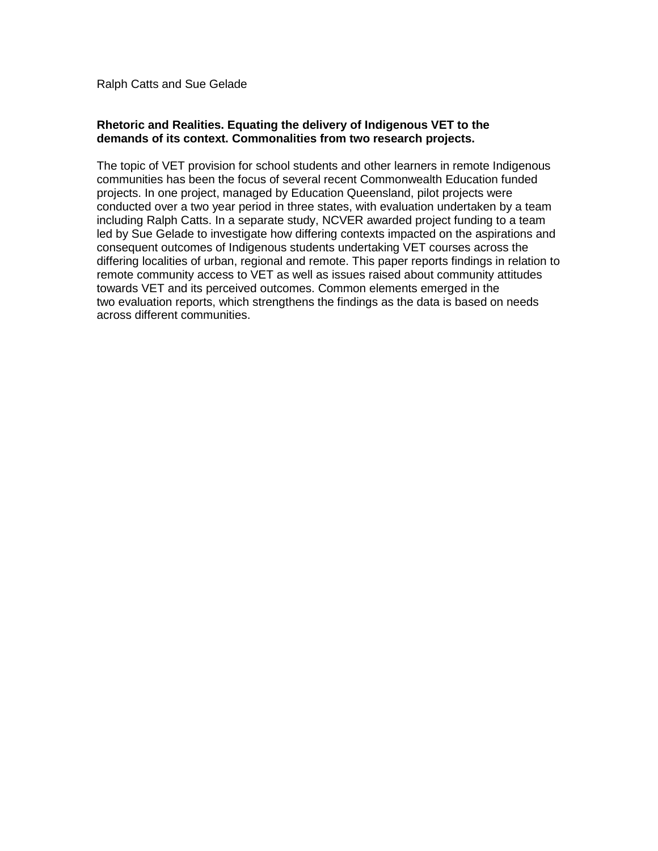Ralph Catts and Sue Gelade

### **Rhetoric and Realities. Equating the delivery of Indigenous VET to the demands of its context. Commonalities from two research projects.**

The topic of VET provision for school students and other learners in remote Indigenous communities has been the focus of several recent Commonwealth Education funded projects. In one project, managed by Education Queensland, pilot projects were conducted over a two year period in three states, with evaluation undertaken by a team including Ralph Catts. In a separate study, NCVER awarded project funding to a team led by Sue Gelade to investigate how differing contexts impacted on the aspirations and consequent outcomes of Indigenous students undertaking VET courses across the differing localities of urban, regional and remote. This paper reports findings in relation to remote community access to VET as well as issues raised about community attitudes towards VET and its perceived outcomes. Common elements emerged in the two evaluation reports, which strengthens the findings as the data is based on needs across different communities.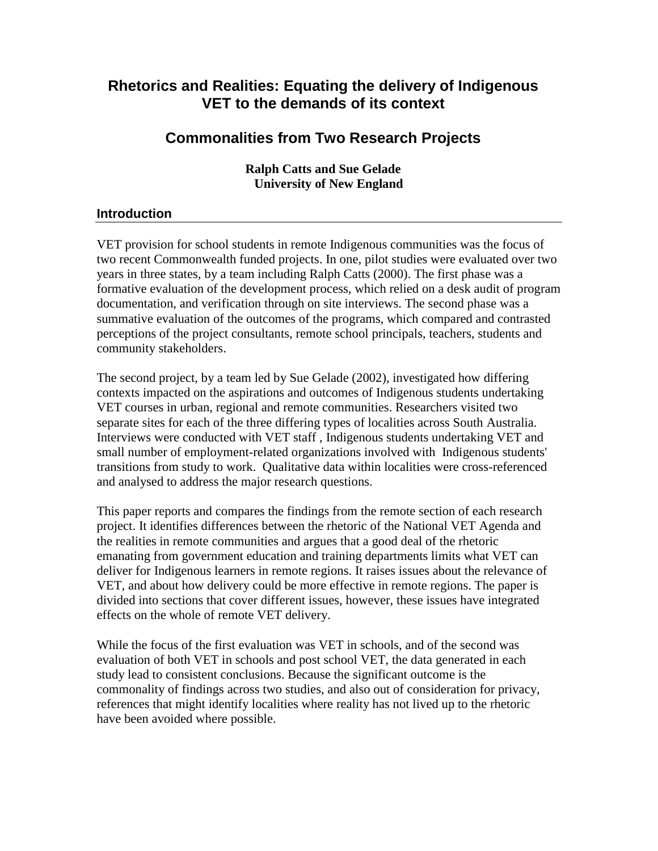# **Rhetorics and Realities: Equating the delivery of Indigenous VET to the demands of its context**

# **Commonalities from Two Research Projects**

**Ralph Catts and Sue Gelade University of New England** 

# **Introduction**

VET provision for school students in remote Indigenous communities was the focus of two recent Commonwealth funded projects. In one, pilot studies were evaluated over two years in three states, by a team including Ralph Catts (2000). The first phase was a formative evaluation of the development process, which relied on a desk audit of program documentation, and verification through on site interviews. The second phase was a summative evaluation of the outcomes of the programs, which compared and contrasted perceptions of the project consultants, remote school principals, teachers, students and community stakeholders.

The second project, by a team led by Sue Gelade (2002), investigated how differing contexts impacted on the aspirations and outcomes of Indigenous students undertaking VET courses in urban, regional and remote communities. Researchers visited two separate sites for each of the three differing types of localities across South Australia. Interviews were conducted with VET staff , Indigenous students undertaking VET and small number of employment-related organizations involved with Indigenous students' transitions from study to work. Qualitative data within localities were cross-referenced and analysed to address the major research questions.

This paper reports and compares the findings from the remote section of each research project. It identifies differences between the rhetoric of the National VET Agenda and the realities in remote communities and argues that a good deal of the rhetoric emanating from government education and training departments limits what VET can deliver for Indigenous learners in remote regions. It raises issues about the relevance of VET, and about how delivery could be more effective in remote regions. The paper is divided into sections that cover different issues, however, these issues have integrated effects on the whole of remote VET delivery.

While the focus of the first evaluation was VET in schools, and of the second was evaluation of both VET in schools and post school VET, the data generated in each study lead to consistent conclusions. Because the significant outcome is the commonality of findings across two studies, and also out of consideration for privacy, references that might identify localities where reality has not lived up to the rhetoric have been avoided where possible.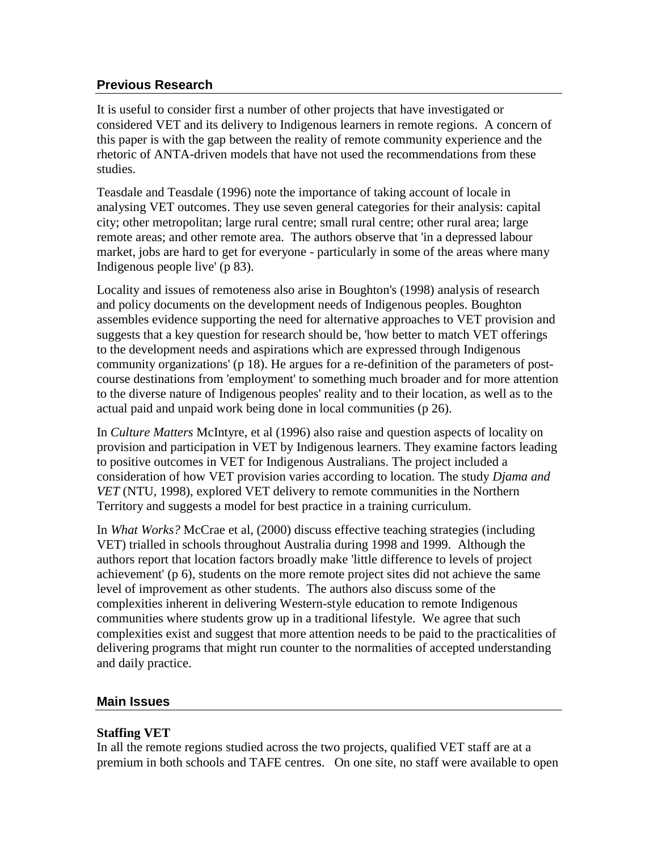# **Previous Research**

It is useful to consider first a number of other projects that have investigated or considered VET and its delivery to Indigenous learners in remote regions. A concern of this paper is with the gap between the reality of remote community experience and the rhetoric of ANTA-driven models that have not used the recommendations from these studies.

Teasdale and Teasdale (1996) note the importance of taking account of locale in analysing VET outcomes. They use seven general categories for their analysis: capital city; other metropolitan; large rural centre; small rural centre; other rural area; large remote areas; and other remote area. The authors observe that 'in a depressed labour market, jobs are hard to get for everyone - particularly in some of the areas where many Indigenous people live' (p 83).

Locality and issues of remoteness also arise in Boughton's (1998) analysis of research and policy documents on the development needs of Indigenous peoples. Boughton assembles evidence supporting the need for alternative approaches to VET provision and suggests that a key question for research should be, 'how better to match VET offerings to the development needs and aspirations which are expressed through Indigenous community organizations' (p 18). He argues for a re-definition of the parameters of postcourse destinations from 'employment' to something much broader and for more attention to the diverse nature of Indigenous peoples' reality and to their location, as well as to the actual paid and unpaid work being done in local communities (p 26).

In *Culture Matters* McIntyre, et al (1996) also raise and question aspects of locality on provision and participation in VET by Indigenous learners. They examine factors leading to positive outcomes in VET for Indigenous Australians. The project included a consideration of how VET provision varies according to location. The study *Djama and VET* (NTU, 1998), explored VET delivery to remote communities in the Northern Territory and suggests a model for best practice in a training curriculum.

In *What Works?* McCrae et al, (2000) discuss effective teaching strategies (including VET) trialled in schools throughout Australia during 1998 and 1999. Although the authors report that location factors broadly make 'little difference to levels of project achievement' (p 6), students on the more remote project sites did not achieve the same level of improvement as other students. The authors also discuss some of the complexities inherent in delivering Western-style education to remote Indigenous communities where students grow up in a traditional lifestyle. We agree that such complexities exist and suggest that more attention needs to be paid to the practicalities of delivering programs that might run counter to the normalities of accepted understanding and daily practice.

# **Main Issues**

# **Staffing VET**

In all the remote regions studied across the two projects, qualified VET staff are at a premium in both schools and TAFE centres. On one site, no staff were available to open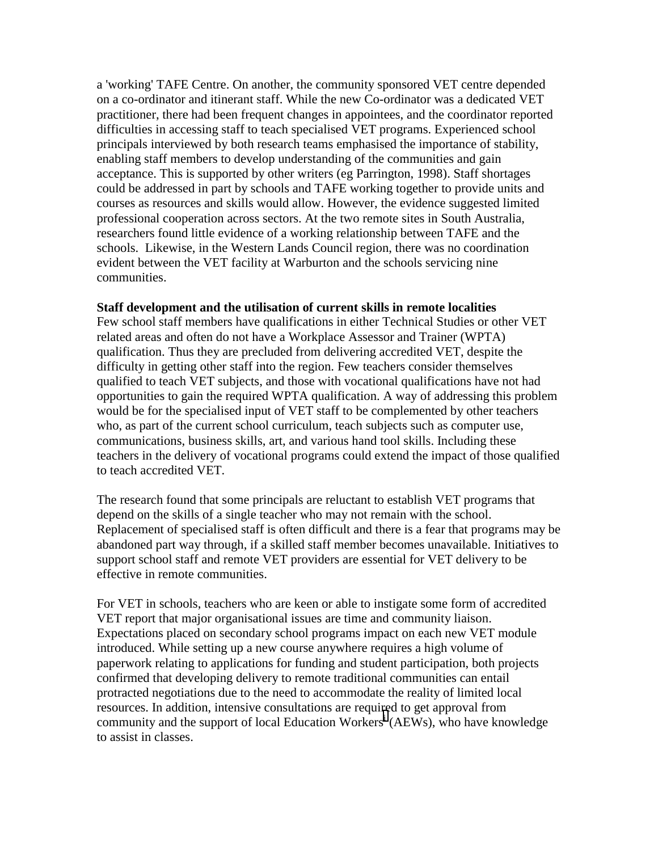a 'working' TAFE Centre. On another, the community sponsored VET centre depended on a co-ordinator and itinerant staff. While the new Co-ordinator was a dedicated VET practitioner, there had been frequent changes in appointees, and the coordinator reported difficulties in accessing staff to teach specialised VET programs. Experienced school principals interviewed by both research teams emphasised the importance of stability, enabling staff members to develop understanding of the communities and gain acceptance. This is supported by other writers (eg Parrington, 1998). Staff shortages could be addressed in part by schools and TAFE working together to provide units and courses as resources and skills would allow. However, the evidence suggested limited professional cooperation across sectors. At the two remote sites in South Australia, researchers found little evidence of a working relationship between TAFE and the schools. Likewise, in the Western Lands Council region, there was no coordination evident between the VET facility at Warburton and the schools servicing nine communities.

#### **Staff development and the utilisation of current skills in remote localities**

Few school staff members have qualifications in either Technical Studies or other VET related areas and often do not have a Workplace Assessor and Trainer (WPTA) qualification. Thus they are precluded from delivering accredited VET, despite the difficulty in getting other staff into the region. Few teachers consider themselves qualified to teach VET subjects, and those with vocational qualifications have not had opportunities to gain the required WPTA qualification. A way of addressing this problem would be for the specialised input of VET staff to be complemented by other teachers who, as part of the current school curriculum, teach subjects such as computer use, communications, business skills, art, and various hand tool skills. Including these teachers in the delivery of vocational programs could extend the impact of those qualified to teach accredited VET.

The research found that some principals are reluctant to establish VET programs that depend on the skills of a single teacher who may not remain with the school. Replacement of specialised staff is often difficult and there is a fear that programs may be abandoned part way through, if a skilled staff member becomes unavailable. Initiatives to support school staff and remote VET providers are essential for VET delivery to be effective in remote communities.

For VET in schools, teachers who are keen or able to instigate some form of accredited VET report that major organisational issues are time and community liaison. Expectations placed on secondary school programs impact on each new VET module introduced. While setting up a new course anywhere requires a high volume of paperwork relating to applications for funding and student participation, both projects confirmed that developing delivery to remote traditional communities can entail protracted negotiations due to the need to accommodate the reality of limited local resources. In addition, intensive consultations are required to get approval from commun[i](#page-12-0)ty and the support of local Education Workers<sup>i</sup> (AEWs), who have knowledge to assist in classes.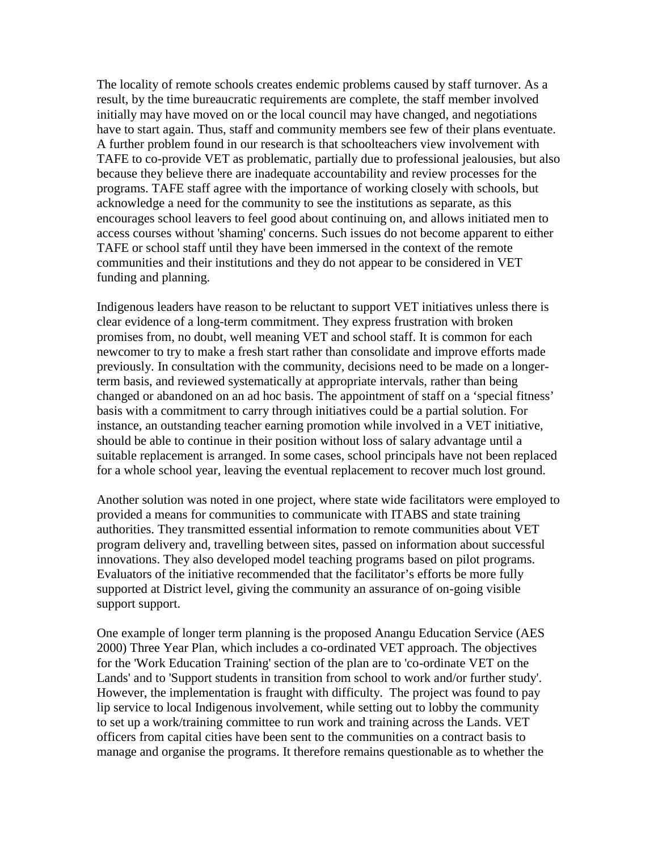The locality of remote schools creates endemic problems caused by staff turnover. As a result, by the time bureaucratic requirements are complete, the staff member involved initially may have moved on or the local council may have changed, and negotiations have to start again. Thus, staff and community members see few of their plans eventuate. A further problem found in our research is that schoolteachers view involvement with TAFE to co-provide VET as problematic, partially due to professional jealousies, but also because they believe there are inadequate accountability and review processes for the programs. TAFE staff agree with the importance of working closely with schools, but acknowledge a need for the community to see the institutions as separate, as this encourages school leavers to feel good about continuing on, and allows initiated men to access courses without 'shaming' concerns. Such issues do not become apparent to either TAFE or school staff until they have been immersed in the context of the remote communities and their institutions and they do not appear to be considered in VET funding and planning.

Indigenous leaders have reason to be reluctant to support VET initiatives unless there is clear evidence of a long-term commitment. They express frustration with broken promises from, no doubt, well meaning VET and school staff. It is common for each newcomer to try to make a fresh start rather than consolidate and improve efforts made previously. In consultation with the community, decisions need to be made on a longerterm basis, and reviewed systematically at appropriate intervals, rather than being changed or abandoned on an ad hoc basis. The appointment of staff on a 'special fitness' basis with a commitment to carry through initiatives could be a partial solution. For instance, an outstanding teacher earning promotion while involved in a VET initiative, should be able to continue in their position without loss of salary advantage until a suitable replacement is arranged. In some cases, school principals have not been replaced for a whole school year, leaving the eventual replacement to recover much lost ground.

Another solution was noted in one project, where state wide facilitators were employed to provided a means for communities to communicate with ITABS and state training authorities. They transmitted essential information to remote communities about VET program delivery and, travelling between sites, passed on information about successful innovations. They also developed model teaching programs based on pilot programs. Evaluators of the initiative recommended that the facilitator's efforts be more fully supported at District level, giving the community an assurance of on-going visible support support.

One example of longer term planning is the proposed Anangu Education Service (AES 2000) Three Year Plan, which includes a co-ordinated VET approach. The objectives for the 'Work Education Training' section of the plan are to 'co-ordinate VET on the Lands' and to 'Support students in transition from school to work and/or further study'. However, the implementation is fraught with difficulty. The project was found to pay lip service to local Indigenous involvement, while setting out to lobby the community to set up a work/training committee to run work and training across the Lands. VET officers from capital cities have been sent to the communities on a contract basis to manage and organise the programs. It therefore remains questionable as to whether the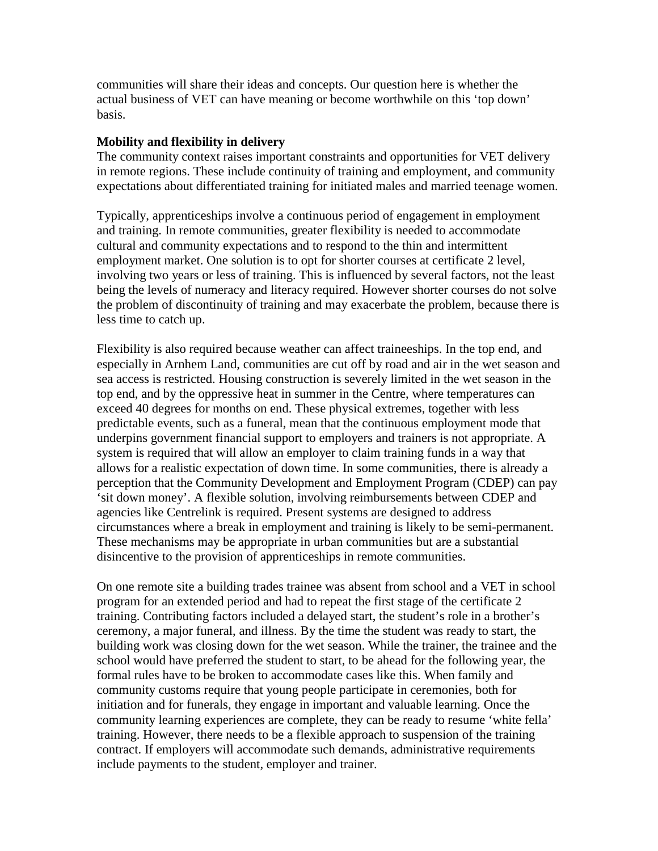communities will share their ideas and concepts. Our question here is whether the actual business of VET can have meaning or become worthwhile on this 'top down' basis.

### **Mobility and flexibility in delivery**

The community context raises important constraints and opportunities for VET delivery in remote regions. These include continuity of training and employment, and community expectations about differentiated training for initiated males and married teenage women.

Typically, apprenticeships involve a continuous period of engagement in employment and training. In remote communities, greater flexibility is needed to accommodate cultural and community expectations and to respond to the thin and intermittent employment market. One solution is to opt for shorter courses at certificate 2 level, involving two years or less of training. This is influenced by several factors, not the least being the levels of numeracy and literacy required. However shorter courses do not solve the problem of discontinuity of training and may exacerbate the problem, because there is less time to catch up.

Flexibility is also required because weather can affect traineeships. In the top end, and especially in Arnhem Land, communities are cut off by road and air in the wet season and sea access is restricted. Housing construction is severely limited in the wet season in the top end, and by the oppressive heat in summer in the Centre, where temperatures can exceed 40 degrees for months on end. These physical extremes, together with less predictable events, such as a funeral, mean that the continuous employment mode that underpins government financial support to employers and trainers is not appropriate. A system is required that will allow an employer to claim training funds in a way that allows for a realistic expectation of down time. In some communities, there is already a perception that the Community Development and Employment Program (CDEP) can pay 'sit down money'. A flexible solution, involving reimbursements between CDEP and agencies like Centrelink is required. Present systems are designed to address circumstances where a break in employment and training is likely to be semi-permanent. These mechanisms may be appropriate in urban communities but are a substantial disincentive to the provision of apprenticeships in remote communities.

On one remote site a building trades trainee was absent from school and a VET in school program for an extended period and had to repeat the first stage of the certificate 2 training. Contributing factors included a delayed start, the student's role in a brother's ceremony, a major funeral, and illness. By the time the student was ready to start, the building work was closing down for the wet season. While the trainer, the trainee and the school would have preferred the student to start, to be ahead for the following year, the formal rules have to be broken to accommodate cases like this. When family and community customs require that young people participate in ceremonies, both for initiation and for funerals, they engage in important and valuable learning. Once the community learning experiences are complete, they can be ready to resume 'white fella' training. However, there needs to be a flexible approach to suspension of the training contract. If employers will accommodate such demands, administrative requirements include payments to the student, employer and trainer.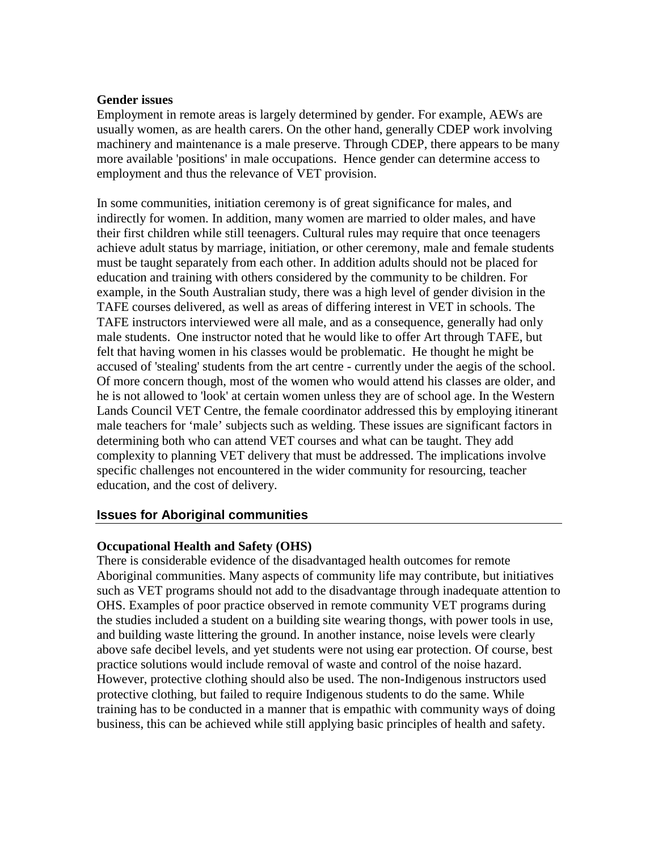#### **Gender issues**

Employment in remote areas is largely determined by gender. For example, AEWs are usually women, as are health carers. On the other hand, generally CDEP work involving machinery and maintenance is a male preserve. Through CDEP, there appears to be many more available 'positions' in male occupations. Hence gender can determine access to employment and thus the relevance of VET provision.

In some communities, initiation ceremony is of great significance for males, and indirectly for women. In addition, many women are married to older males, and have their first children while still teenagers. Cultural rules may require that once teenagers achieve adult status by marriage, initiation, or other ceremony, male and female students must be taught separately from each other. In addition adults should not be placed for education and training with others considered by the community to be children. For example, in the South Australian study, there was a high level of gender division in the TAFE courses delivered, as well as areas of differing interest in VET in schools. The TAFE instructors interviewed were all male, and as a consequence, generally had only male students. One instructor noted that he would like to offer Art through TAFE, but felt that having women in his classes would be problematic. He thought he might be accused of 'stealing' students from the art centre - currently under the aegis of the school. Of more concern though, most of the women who would attend his classes are older, and he is not allowed to 'look' at certain women unless they are of school age. In the Western Lands Council VET Centre, the female coordinator addressed this by employing itinerant male teachers for 'male' subjects such as welding. These issues are significant factors in determining both who can attend VET courses and what can be taught. They add complexity to planning VET delivery that must be addressed. The implications involve specific challenges not encountered in the wider community for resourcing, teacher education, and the cost of delivery.

## **Issues for Aboriginal communities**

## **Occupational Health and Safety (OHS)**

There is considerable evidence of the disadvantaged health outcomes for remote Aboriginal communities. Many aspects of community life may contribute, but initiatives such as VET programs should not add to the disadvantage through inadequate attention to OHS. Examples of poor practice observed in remote community VET programs during the studies included a student on a building site wearing thongs, with power tools in use, and building waste littering the ground. In another instance, noise levels were clearly above safe decibel levels, and yet students were not using ear protection. Of course, best practice solutions would include removal of waste and control of the noise hazard. However, protective clothing should also be used. The non-Indigenous instructors used protective clothing, but failed to require Indigenous students to do the same. While training has to be conducted in a manner that is empathic with community ways of doing business, this can be achieved while still applying basic principles of health and safety.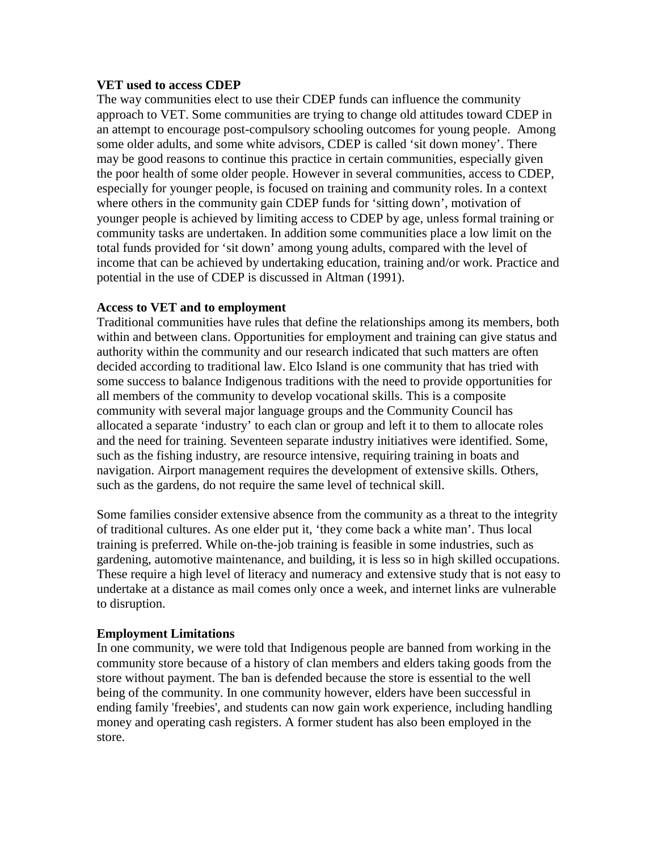#### **VET used to access CDEP**

The way communities elect to use their CDEP funds can influence the community approach to VET. Some communities are trying to change old attitudes toward CDEP in an attempt to encourage post-compulsory schooling outcomes for young people. Among some older adults, and some white advisors, CDEP is called 'sit down money'. There may be good reasons to continue this practice in certain communities, especially given the poor health of some older people. However in several communities, access to CDEP, especially for younger people, is focused on training and community roles. In a context where others in the community gain CDEP funds for 'sitting down', motivation of younger people is achieved by limiting access to CDEP by age, unless formal training or community tasks are undertaken. In addition some communities place a low limit on the total funds provided for 'sit down' among young adults, compared with the level of income that can be achieved by undertaking education, training and/or work. Practice and potential in the use of CDEP is discussed in Altman (1991).

#### **Access to VET and to employment**

Traditional communities have rules that define the relationships among its members, both within and between clans. Opportunities for employment and training can give status and authority within the community and our research indicated that such matters are often decided according to traditional law. Elco Island is one community that has tried with some success to balance Indigenous traditions with the need to provide opportunities for all members of the community to develop vocational skills. This is a composite community with several major language groups and the Community Council has allocated a separate 'industry' to each clan or group and left it to them to allocate roles and the need for training. Seventeen separate industry initiatives were identified. Some, such as the fishing industry, are resource intensive, requiring training in boats and navigation. Airport management requires the development of extensive skills. Others, such as the gardens, do not require the same level of technical skill.

Some families consider extensive absence from the community as a threat to the integrity of traditional cultures. As one elder put it, 'they come back a white man'. Thus local training is preferred. While on-the-job training is feasible in some industries, such as gardening, automotive maintenance, and building, it is less so in high skilled occupations. These require a high level of literacy and numeracy and extensive study that is not easy to undertake at a distance as mail comes only once a week, and internet links are vulnerable to disruption.

## **Employment Limitations**

In one community, we were told that Indigenous people are banned from working in the community store because of a history of clan members and elders taking goods from the store without payment. The ban is defended because the store is essential to the well being of the community. In one community however, elders have been successful in ending family 'freebies', and students can now gain work experience, including handling money and operating cash registers. A former student has also been employed in the store.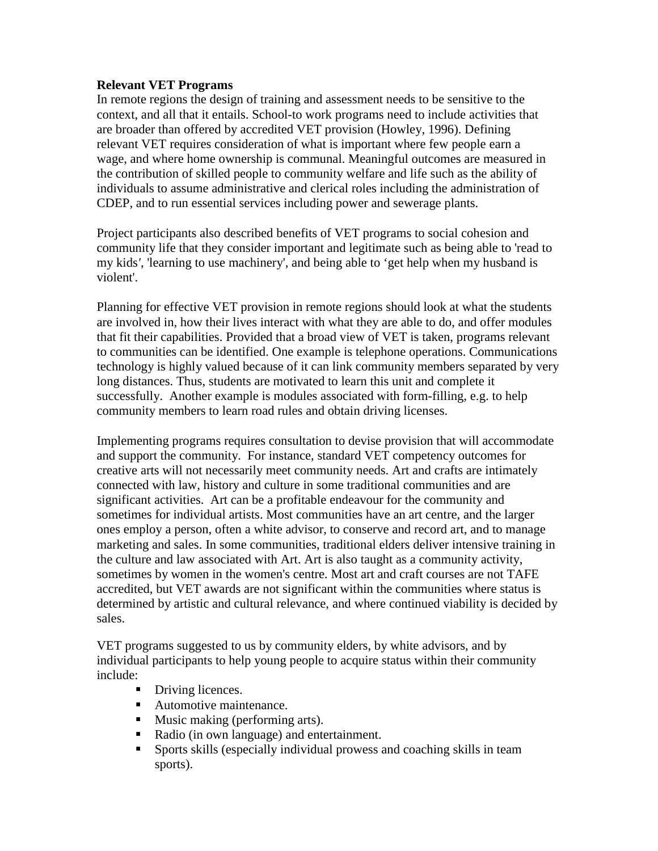## **Relevant VET Programs**

In remote regions the design of training and assessment needs to be sensitive to the context, and all that it entails. School-to work programs need to include activities that are broader than offered by accredited VET provision (Howley, 1996). Defining relevant VET requires consideration of what is important where few people earn a wage, and where home ownership is communal. Meaningful outcomes are measured in the contribution of skilled people to community welfare and life such as the ability of individuals to assume administrative and clerical roles including the administration of CDEP, and to run essential services including power and sewerage plants.

Project participants also described benefits of VET programs to social cohesion and community life that they consider important and legitimate such as being able to 'read to my kids*'*, 'learning to use machinery', and being able to 'get help when my husband is violent'.

Planning for effective VET provision in remote regions should look at what the students are involved in, how their lives interact with what they are able to do, and offer modules that fit their capabilities. Provided that a broad view of VET is taken, programs relevant to communities can be identified. One example is telephone operations. Communications technology is highly valued because of it can link community members separated by very long distances. Thus, students are motivated to learn this unit and complete it successfully. Another example is modules associated with form-filling, e.g. to help community members to learn road rules and obtain driving licenses.

Implementing programs requires consultation to devise provision that will accommodate and support the community. For instance, standard VET competency outcomes for creative arts will not necessarily meet community needs. Art and crafts are intimately connected with law, history and culture in some traditional communities and are significant activities. Art can be a profitable endeavour for the community and sometimes for individual artists. Most communities have an art centre, and the larger ones employ a person, often a white advisor, to conserve and record art, and to manage marketing and sales. In some communities, traditional elders deliver intensive training in the culture and law associated with Art. Art is also taught as a community activity, sometimes by women in the women's centre. Most art and craft courses are not TAFE accredited, but VET awards are not significant within the communities where status is determined by artistic and cultural relevance, and where continued viability is decided by sales.

VET programs suggested to us by community elders, by white advisors, and by individual participants to help young people to acquire status within their community include:

- Driving licences.
- Automotive maintenance.
- **Music making (performing arts).**
- Radio (in own language) and entertainment.
- Sports skills (especially individual prowess and coaching skills in team sports).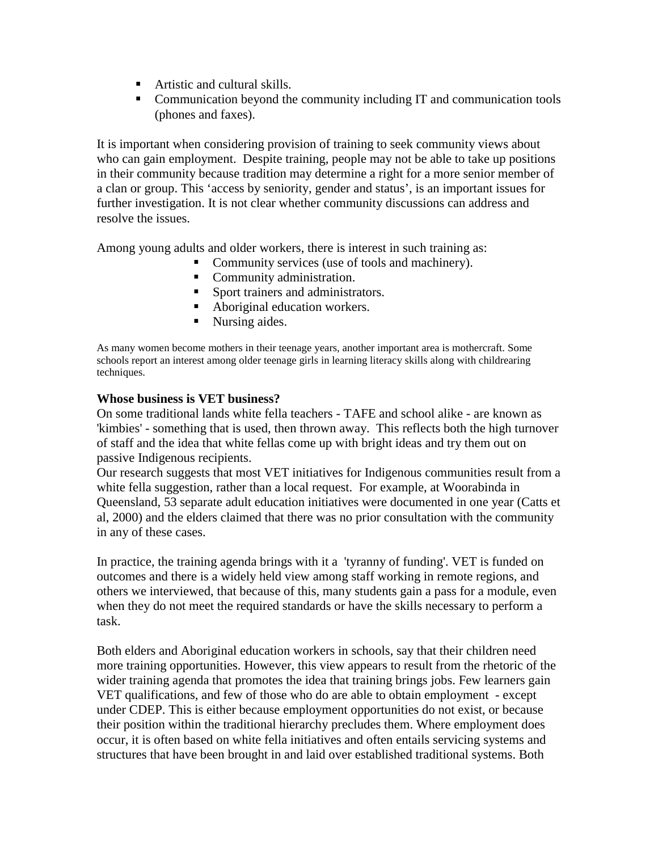- Artistic and cultural skills.
- Communication beyond the community including IT and communication tools (phones and faxes).

It is important when considering provision of training to seek community views about who can gain employment. Despite training, people may not be able to take up positions in their community because tradition may determine a right for a more senior member of a clan or group. This 'access by seniority, gender and status', is an important issues for further investigation. It is not clear whether community discussions can address and resolve the issues.

Among young adults and older workers, there is interest in such training as:

- Community services (use of tools and machinery).
	- **Community administration.**
	- Sport trainers and administrators.
	- Aboriginal education workers.
	- Nursing aides.

As many women become mothers in their teenage years, another important area is mothercraft. Some schools report an interest among older teenage girls in learning literacy skills along with childrearing techniques.

## **Whose business is VET business?**

On some traditional lands white fella teachers - TAFE and school alike - are known as 'kimbies' - something that is used, then thrown away. This reflects both the high turnover of staff and the idea that white fellas come up with bright ideas and try them out on passive Indigenous recipients.

Our research suggests that most VET initiatives for Indigenous communities result from a white fella suggestion, rather than a local request. For example, at Woorabinda in Queensland, 53 separate adult education initiatives were documented in one year (Catts et al, 2000) and the elders claimed that there was no prior consultation with the community in any of these cases.

In practice, the training agenda brings with it a 'tyranny of funding'. VET is funded on outcomes and there is a widely held view among staff working in remote regions, and others we interviewed, that because of this, many students gain a pass for a module, even when they do not meet the required standards or have the skills necessary to perform a task.

Both elders and Aboriginal education workers in schools, say that their children need more training opportunities. However, this view appears to result from the rhetoric of the wider training agenda that promotes the idea that training brings jobs. Few learners gain VET qualifications, and few of those who do are able to obtain employment - except under CDEP. This is either because employment opportunities do not exist, or because their position within the traditional hierarchy precludes them. Where employment does occur, it is often based on white fella initiatives and often entails servicing systems and structures that have been brought in and laid over established traditional systems. Both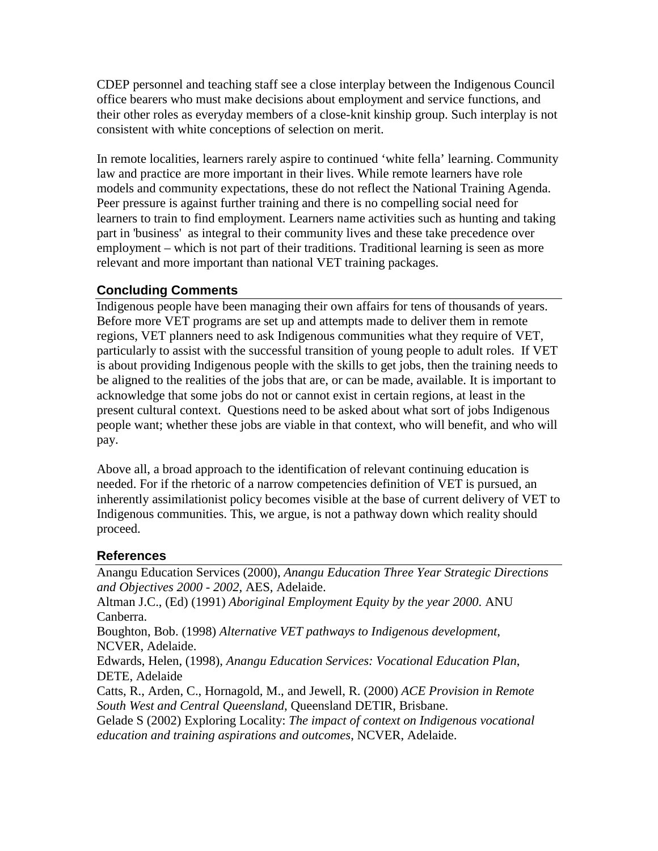CDEP personnel and teaching staff see a close interplay between the Indigenous Council office bearers who must make decisions about employment and service functions, and their other roles as everyday members of a close-knit kinship group. Such interplay is not consistent with white conceptions of selection on merit.

In remote localities, learners rarely aspire to continued 'white fella' learning. Community law and practice are more important in their lives. While remote learners have role models and community expectations, these do not reflect the National Training Agenda. Peer pressure is against further training and there is no compelling social need for learners to train to find employment. Learners name activities such as hunting and taking part in 'business' as integral to their community lives and these take precedence over employment – which is not part of their traditions. Traditional learning is seen as more relevant and more important than national VET training packages.

# **Concluding Comments**

Indigenous people have been managing their own affairs for tens of thousands of years. Before more VET programs are set up and attempts made to deliver them in remote regions, VET planners need to ask Indigenous communities what they require of VET, particularly to assist with the successful transition of young people to adult roles. If VET is about providing Indigenous people with the skills to get jobs, then the training needs to be aligned to the realities of the jobs that are, or can be made, available. It is important to acknowledge that some jobs do not or cannot exist in certain regions, at least in the present cultural context. Questions need to be asked about what sort of jobs Indigenous people want; whether these jobs are viable in that context, who will benefit, and who will pay.

Above all, a broad approach to the identification of relevant continuing education is needed. For if the rhetoric of a narrow competencies definition of VET is pursued, an inherently assimilationist policy becomes visible at the base of current delivery of VET to Indigenous communities. This, we argue, is not a pathway down which reality should proceed.

# **References**

Anangu Education Services (2000), *Anangu Education Three Year Strategic Directions and Objectives 2000 - 2002*, AES, Adelaide.

Altman J.C., (Ed) (1991) *Aboriginal Employment Equity by the year 2000*. ANU Canberra.

Boughton, Bob. (1998) *Alternative VET pathways to Indigenous development*, NCVER, Adelaide.

Edwards, Helen, (1998), *Anangu Education Services: Vocational Education Plan*, DETE, Adelaide

Catts, R., Arden, C., Hornagold, M., and Jewell, R. (2000) *ACE Provision in Remote South West and Central Queensland*, Queensland DETIR, Brisbane.

Gelade S (2002) Exploring Locality: *The impact of context on Indigenous vocational education and training aspirations and outcomes*, NCVER, Adelaide.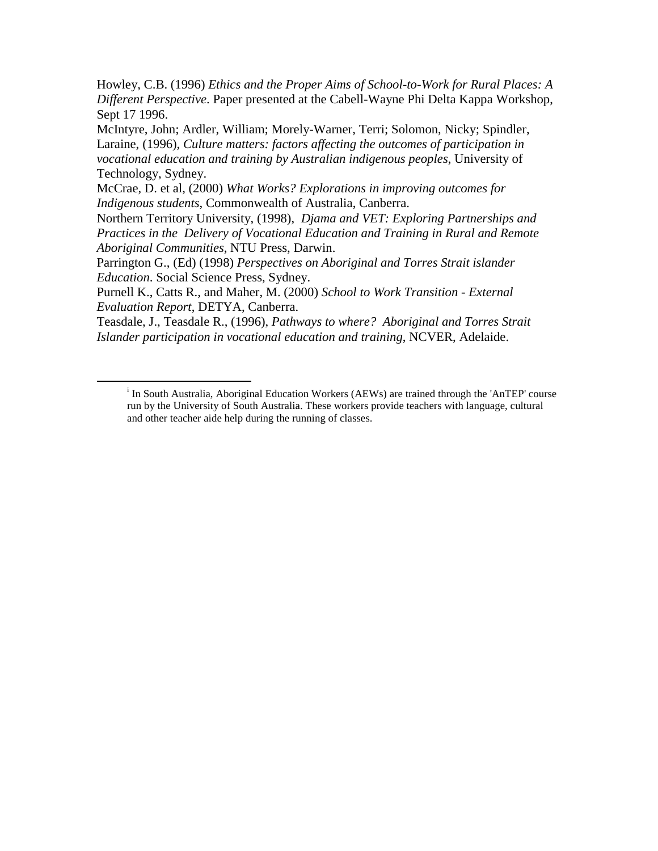Howley, C.B. (1996) *Ethics and the Proper Aims of School-to-Work for Rural Places: A Different Perspective*. Paper presented at the Cabell-Wayne Phi Delta Kappa Workshop, Sept 17 1996.

McIntyre, John; Ardler, William; Morely-Warner, Terri; Solomon, Nicky; Spindler, Laraine, (1996), *Culture matters: factors affecting the outcomes of participation in vocational education and training by Australian indigenous peoples*, University of Technology, Sydney.

McCrae, D. et al, (2000) *What Works? Explorations in improving outcomes for Indigenous students*, Commonwealth of Australia, Canberra.

Northern Territory University, (1998), *Djama and VET: Exploring Partnerships and Practices in the Delivery of Vocational Education and Training in Rural and Remote Aboriginal Communities*, NTU Press, Darwin.

Parrington G., (Ed) (1998) *Perspectives on Aboriginal and Torres Strait islander Education*. Social Science Press, Sydney.

Purnell K., Catts R., and Maher, M. (2000) *School to Work Transition - External Evaluation Report*, DETYA, Canberra.

Teasdale, J., Teasdale R., (1996), *Pathways to where? Aboriginal and Torres Strait Islander participation in vocational education and training*, NCVER, Adelaide.

 $\frac{1}{\sqrt{1-\frac{1}{2}}}\left\vert \frac{1}{2}\right\rangle$ <sup>1</sup> In South Australia, Aboriginal Education Workers (AEWs) are trained through the 'AnTEP' course run by the University of South Australia. These workers provide teachers with language, cultural and other teacher aide help during the running of classes.